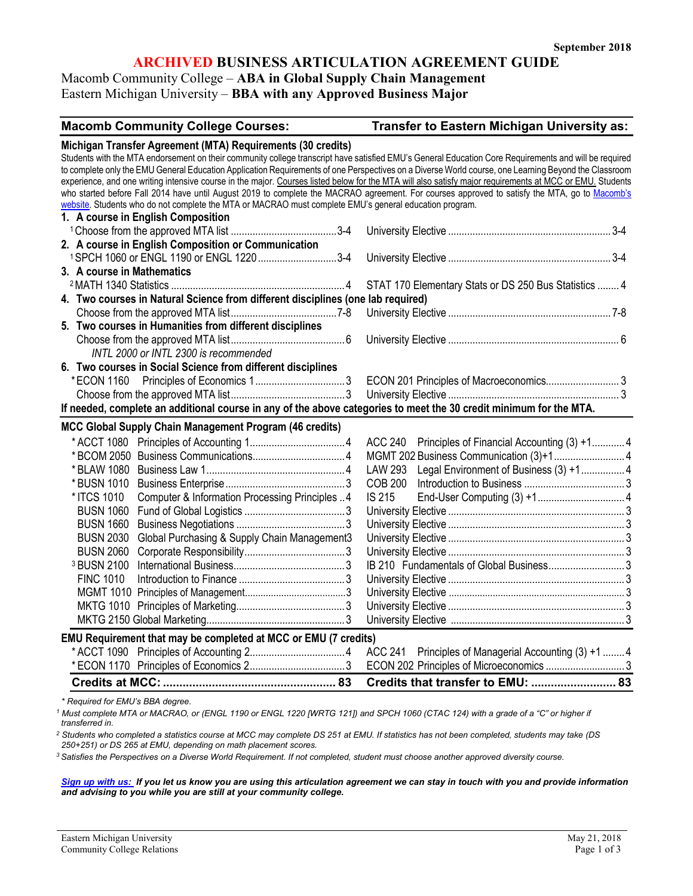# **ARCHIVED BUSINESS ARTICULATION AGREEMENT GUIDE**

# Macomb Community College – **ABA in Global Supply Chain Management**

Eastern Michigan University – **BBA with any Approved Business Major**

# **Macomb Community College Courses: Transfer to Eastern Michigan University as:**

|                                                                                                                                                          | Michigan Transfer Agreement (MTA) Requirements (30 credits)<br>Students with the MTA endorsement on their community college transcript have satisfied EMU's General Education Core Requirements and will be required |  |  |  |  |
|----------------------------------------------------------------------------------------------------------------------------------------------------------|----------------------------------------------------------------------------------------------------------------------------------------------------------------------------------------------------------------------|--|--|--|--|
| to complete only the EMU General Education Application Requirements of one Perspectives on a Diverse World course, one Learning Beyond the Classroom     |                                                                                                                                                                                                                      |  |  |  |  |
| experience, and one writing intensive course in the major. Courses listed below for the MTA will also satisfy major requirements at MCC or EMU. Students |                                                                                                                                                                                                                      |  |  |  |  |
| who started before Fall 2014 have until August 2019 to complete the MACRAO agreement. For courses approved to satisfy the MTA, go to Macomb's            |                                                                                                                                                                                                                      |  |  |  |  |
| website. Students who do not complete the MTA or MACRAO must complete EMU's general education program.                                                   |                                                                                                                                                                                                                      |  |  |  |  |
| 1. A course in English Composition                                                                                                                       |                                                                                                                                                                                                                      |  |  |  |  |
|                                                                                                                                                          |                                                                                                                                                                                                                      |  |  |  |  |
| 2. A course in English Composition or Communication                                                                                                      |                                                                                                                                                                                                                      |  |  |  |  |
| 1SPCH 1060 or ENGL 1190 or ENGL 1220 3-4                                                                                                                 |                                                                                                                                                                                                                      |  |  |  |  |
| 3. A course in Mathematics                                                                                                                               |                                                                                                                                                                                                                      |  |  |  |  |
|                                                                                                                                                          | STAT 170 Elementary Stats or DS 250 Bus Statistics  4                                                                                                                                                                |  |  |  |  |
| 4. Two courses in Natural Science from different disciplines (one lab required)                                                                          |                                                                                                                                                                                                                      |  |  |  |  |
|                                                                                                                                                          |                                                                                                                                                                                                                      |  |  |  |  |
| 5. Two courses in Humanities from different disciplines                                                                                                  |                                                                                                                                                                                                                      |  |  |  |  |
|                                                                                                                                                          |                                                                                                                                                                                                                      |  |  |  |  |
| INTL 2000 or INTL 2300 is recommended                                                                                                                    |                                                                                                                                                                                                                      |  |  |  |  |
| 6. Two courses in Social Science from different disciplines                                                                                              |                                                                                                                                                                                                                      |  |  |  |  |
| *ECON 1160                                                                                                                                               |                                                                                                                                                                                                                      |  |  |  |  |
|                                                                                                                                                          |                                                                                                                                                                                                                      |  |  |  |  |
| If needed, complete an additional course in any of the above categories to meet the 30 credit minimum for the MTA.                                       |                                                                                                                                                                                                                      |  |  |  |  |
| MCC Global Supply Chain Management Program (46 credits)                                                                                                  |                                                                                                                                                                                                                      |  |  |  |  |
|                                                                                                                                                          |                                                                                                                                                                                                                      |  |  |  |  |
|                                                                                                                                                          |                                                                                                                                                                                                                      |  |  |  |  |
|                                                                                                                                                          | ACC 240 Principles of Financial Accounting (3) +1 4                                                                                                                                                                  |  |  |  |  |
| * BLAW 1080                                                                                                                                              | <b>LAW 293</b>                                                                                                                                                                                                       |  |  |  |  |
|                                                                                                                                                          | Legal Environment of Business (3) +1 4                                                                                                                                                                               |  |  |  |  |
| * BUSN 1010                                                                                                                                              | <b>COB 200</b>                                                                                                                                                                                                       |  |  |  |  |
| Computer & Information Processing Principles  4<br>* ITCS 1010                                                                                           | <b>IS 215</b>                                                                                                                                                                                                        |  |  |  |  |
| <b>BUSN 1060</b>                                                                                                                                         |                                                                                                                                                                                                                      |  |  |  |  |
| <b>BUSN 1660</b>                                                                                                                                         |                                                                                                                                                                                                                      |  |  |  |  |
| Global Purchasing & Supply Chain Management3<br><b>BUSN 2030</b>                                                                                         |                                                                                                                                                                                                                      |  |  |  |  |
| <b>BUSN 2060</b>                                                                                                                                         |                                                                                                                                                                                                                      |  |  |  |  |
| <sup>3</sup> BUSN 2100                                                                                                                                   | IB 210 Fundamentals of Global Business3                                                                                                                                                                              |  |  |  |  |
| <b>FINC 1010</b>                                                                                                                                         |                                                                                                                                                                                                                      |  |  |  |  |
|                                                                                                                                                          |                                                                                                                                                                                                                      |  |  |  |  |
|                                                                                                                                                          |                                                                                                                                                                                                                      |  |  |  |  |
|                                                                                                                                                          |                                                                                                                                                                                                                      |  |  |  |  |
| EMU Requirement that may be completed at MCC or EMU (7 credits)                                                                                          |                                                                                                                                                                                                                      |  |  |  |  |
|                                                                                                                                                          | ACC 241 Principles of Managerial Accounting (3) +1  4                                                                                                                                                                |  |  |  |  |
|                                                                                                                                                          | ECON 202 Principles of Microeconomics 3<br>Credits that transfer to EMU:  83                                                                                                                                         |  |  |  |  |

*\* Required for EMU's BBA degree.*

*<sup>1</sup> Must complete MTA or MACRAO, or (ENGL 1190 or ENGL 1220 [WRTG 121]) and SPCH 1060 (CTAC 124) with a grade of a "C" or higher if transferred in.* 

*<sup>2</sup> Students who completed a statistics course at MCC may complete DS 251 at EMU. If statistics has not been completed, students may take (DS 250+251) or DS 265 at EMU, depending on math placement scores.* 

*<sup>3</sup> Satisfies the Perspectives on a Diverse World Requirement. If not completed, student must choose another approved diversity course.*

*[Sign up with us:](https://www.emich.edu/ccr/articulation-agreements/signup.php) If you let us know you are using this articulation agreement we can stay in touch with you and provide information and advising to you while you are still at your community college.*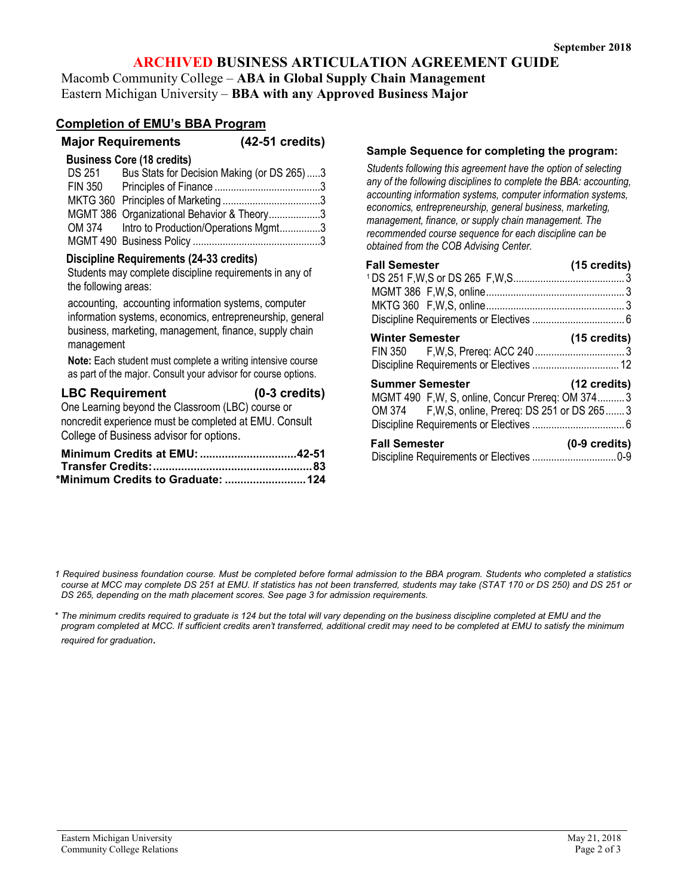# **ARCHIVED BUSINESS ARTICULATION AGREEMENT GUIDE**

Macomb Community College – **ABA in Global Supply Chain Management** Eastern Michigan University – **BBA with any Approved Business Major**

# **Completion of EMU's BBA Program**

|                                                                                   | <b>Major Requirements</b>                  | (42-51 credits)                             |  |
|-----------------------------------------------------------------------------------|--------------------------------------------|---------------------------------------------|--|
|                                                                                   | <b>Business Core (18 credits)</b>          |                                             |  |
| DS 251                                                                            | Bus Stats for Decision Making (or DS 265)3 |                                             |  |
|                                                                                   |                                            |                                             |  |
|                                                                                   |                                            |                                             |  |
|                                                                                   | MGMT 386 Organizational Behavior & Theory3 |                                             |  |
|                                                                                   |                                            | OM 374 Intro to Production/Operations Mgmt3 |  |
|                                                                                   |                                            |                                             |  |
| <b>Discipline Requirements (24-33 credits)</b><br>$\alpha$ is the set of $\alpha$ |                                            |                                             |  |

Students may complete discipline requirements in any of the following areas:

accounting, accounting information systems, computer information systems, economics, entrepreneurship, general business, marketing, management, finance, supply chain management

**Note:** Each student must complete a writing intensive course as part of the major. Consult your advisor for course options.

| <b>LBC Requirement</b>                               | $(0-3 \text{ credits})$ |
|------------------------------------------------------|-------------------------|
| One Learning beyond the Classroom $(1 RC)$ course or |                         |

One Learning beyond the Classroom (LBC) course or noncredit experience must be completed at EMU. Consult College of Business advisor for options.

| *Minimum Credits to Graduate:  124 |  |
|------------------------------------|--|

#### **Sample Sequence for completing the program:**

*Students following this agreement have the option of selecting any of the following disciplines to complete the BBA: accounting, accounting information systems, computer information systems, economics, entrepreneurship, general business, marketing, management, finance, or supply chain management. The recommended course sequence for each discipline can be obtained from the COB Advising Center.* 

| <b>Fall Semester</b>                                                                                                             | $(15 \text{ credits})$  |
|----------------------------------------------------------------------------------------------------------------------------------|-------------------------|
|                                                                                                                                  |                         |
|                                                                                                                                  |                         |
| <b>Winter Semester</b>                                                                                                           | (15 credits)            |
| <b>Summer Semester</b><br>MGMT 490 F, W, S, online, Concur Prereq: OM 3743<br>OM 374 F, W, S, online, Prereq: DS 251 or DS 265 3 | $(12 \text{ credits})$  |
| <b>Fall Semester</b>                                                                                                             | $(0-9 \text{ credits})$ |

*\* The minimum credits required to graduate is 124 but the total will vary depending on the business discipline completed at EMU and the program completed at MCC. If sufficient credits aren't transferred, additional credit may need to be completed at EMU to satisfy the minimum required for graduation*.

*<sup>1</sup> Required business foundation course. Must be completed before formal admission to the BBA program. Students who completed a statistics course at MCC may complete DS 251 at EMU. If statistics has not been transferred, students may take (STAT 170 or DS 250) and DS 251 or DS 265, depending on the math placement scores. See page 3 for admission requirements.*